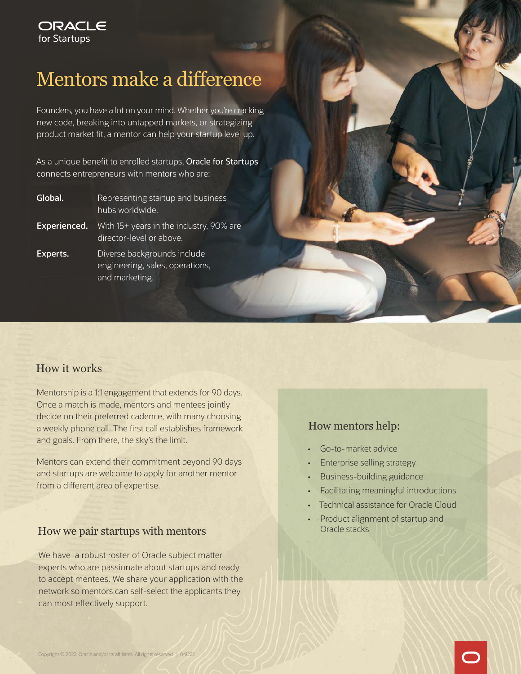# Mentors make a difference

Founders, you have a lot on your mind. Whether you're cracking new code, breaking into untapped markets, or strategizing product market fit, a mentor can help your startup level up.

As a unique benefit to enrolled startups, [Oracle for Startups](http://oracle.com/startups)  connects entrepreneurs with mentors who are:

| Global.      | Representing startup and business<br>hubs worldwide.                             |
|--------------|----------------------------------------------------------------------------------|
| Experienced. | With 15+ years in the industry, 90% are<br>director-level or above.              |
| Experts.     | Diverse backgrounds include<br>engineering, sales, operations,<br>and marketing. |

#### How it works

Mentorship is a 1:1 engagement that extends for 90 days. Once a match is made, mentors and mentees jointly decide on their preferred cadence, with many choosing a weekly phone call. The first call establishes framework and goals. From there, the sky's the limit.

Mentors can extend their commitment beyond 90 days and startups are welcome to apply for another mentor from a different area of expertise.

### How we pair startups with mentors

We have a robust roster of Oracle subject matter experts who are passionate about startups and ready to accept mentees. We share your application with the network so mentors can self-select the applicants they can most effectively support.

#### How mentors help:

- Go-to-market advice
- Enterprise selling strategy
- Business-building guidance
- Facilitating meaningful introductions
- Technical assistance for Oracle Cloud
- Product alignment of startup and Oracle stacks